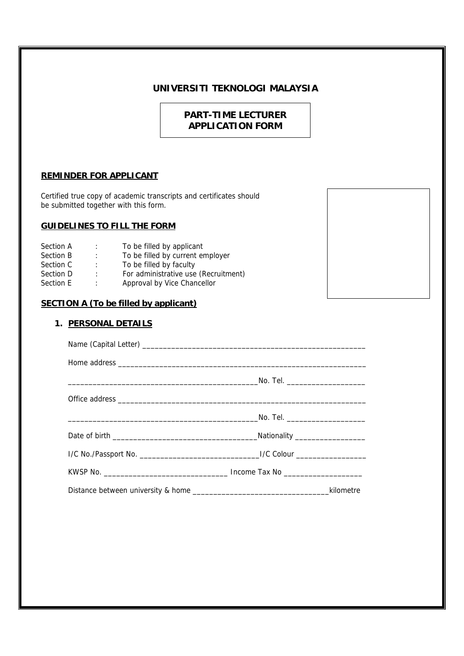### **UNIVERSITI TEKNOLOGI MALAYSIA**

### **PART-TIME LECTURER APPLICATION FORM**

#### **REMINDER FOR APPLICANT**

Certified true copy of academic transcripts and certificates should be submitted together with this form.

### **GUIDELINES TO FILL THE FORM**

| Section A<br>÷ |   | To be filled by applicant            |
|----------------|---|--------------------------------------|
| Section B<br>÷ |   | To be filled by current employer     |
| Section C      | ÷ | To be filled by faculty              |
| Section D<br>٠ |   | For administrative use (Recruitment) |
| Section E<br>÷ |   | Approval by Vice Chancellor          |

### **SECTION A (To be filled by applicant)**

#### **1. PERSONAL DETAILS**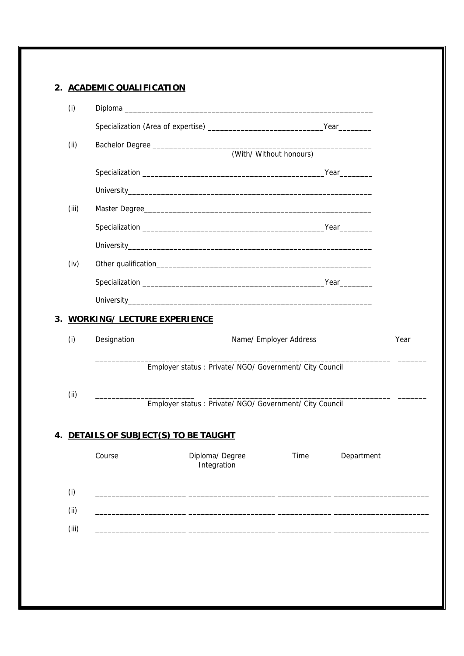## **2. ACADEMIC QUALIFICATION**

| (ii)  | Bachelor Degree _______________________ |                                                          | (With/ Without honours) |            |      |
|-------|-----------------------------------------|----------------------------------------------------------|-------------------------|------------|------|
|       |                                         |                                                          |                         |            |      |
|       |                                         |                                                          |                         |            |      |
| (iii) |                                         |                                                          |                         |            |      |
|       |                                         |                                                          |                         |            |      |
|       |                                         |                                                          |                         |            |      |
| (iv)  |                                         |                                                          |                         |            |      |
|       |                                         |                                                          |                         |            |      |
|       |                                         |                                                          |                         |            |      |
|       |                                         |                                                          |                         |            |      |
| 3.    | <b>WORKING/ LECTURE EXPERIENCE</b>      |                                                          |                         |            |      |
| (i)   | Designation                             |                                                          | Name/ Employer Address  |            | Year |
|       |                                         | Employer status : Private/ NGO/ Government/ City Council |                         |            |      |
|       |                                         |                                                          |                         |            |      |
|       |                                         |                                                          |                         |            |      |
| (ii)  |                                         |                                                          |                         |            |      |
|       |                                         | Employer status: Private/ NGO/ Government/ City Council  |                         |            |      |
| 4.    | DETAILS OF SUBJECT(S) TO BE TAUGHT      |                                                          |                         |            |      |
|       | Course                                  | Diploma/ Degree<br>Integration                           | Time                    | Department |      |
|       |                                         |                                                          |                         |            |      |
| (i)   |                                         |                                                          |                         |            |      |
| (ii)  |                                         |                                                          |                         |            |      |
| (iii) |                                         |                                                          |                         |            |      |
|       |                                         |                                                          |                         |            |      |
|       |                                         |                                                          |                         |            |      |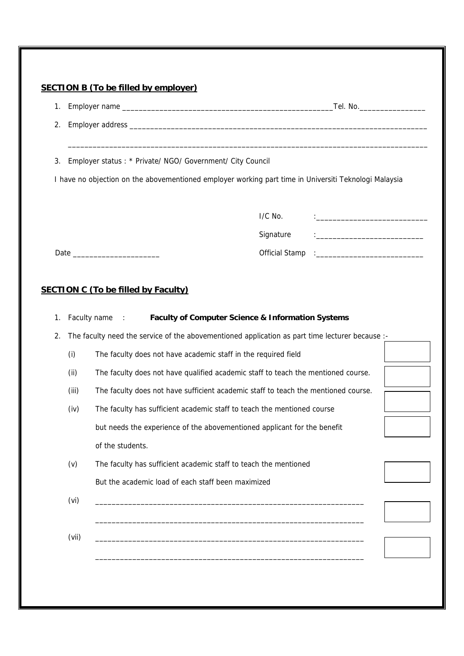# **SECTION B (To be filled by employer)**

| 1.    |                                                                                                       |           | _Tel. No.___________________                    |  |
|-------|-------------------------------------------------------------------------------------------------------|-----------|-------------------------------------------------|--|
| 2.    |                                                                                                       |           |                                                 |  |
| 3.    | Employer status : * Private/ NGO/ Government/ City Council                                            |           |                                                 |  |
|       | I have no objection on the abovementioned employer working part time in Universiti Teknologi Malaysia |           |                                                 |  |
|       |                                                                                                       | I/C No.   |                                                 |  |
|       |                                                                                                       | Signature | <u> 1989 - Johann John Stone, mars et al. (</u> |  |
|       |                                                                                                       |           |                                                 |  |
|       |                                                                                                       |           |                                                 |  |
|       |                                                                                                       |           |                                                 |  |
|       | <b>SECTION C (To be filled by Faculty)</b>                                                            |           |                                                 |  |
| 1.    | Faculty name :<br>Faculty of Computer Science & Information Systems                                   |           |                                                 |  |
| 2.    | The faculty need the service of the abovementioned application as part time lecturer because :-       |           |                                                 |  |
| (i)   | The faculty does not have academic staff in the required field                                        |           |                                                 |  |
| (ii)  | The faculty does not have qualified academic staff to teach the mentioned course.                     |           |                                                 |  |
| (iii) | The faculty does not have sufficient academic staff to teach the mentioned course.                    |           |                                                 |  |
| (iv)  | The faculty has sufficient academic staff to teach the mentioned course                               |           |                                                 |  |
|       | but needs the experience of the abovementioned applicant for the benefit                              |           |                                                 |  |
|       | of the students.                                                                                      |           |                                                 |  |
| (v)   | The faculty has sufficient academic staff to teach the mentioned                                      |           |                                                 |  |
|       | But the academic load of each staff been maximized                                                    |           |                                                 |  |
| (vi)  |                                                                                                       |           |                                                 |  |
|       |                                                                                                       |           |                                                 |  |
|       |                                                                                                       |           |                                                 |  |
| (vii) |                                                                                                       |           |                                                 |  |